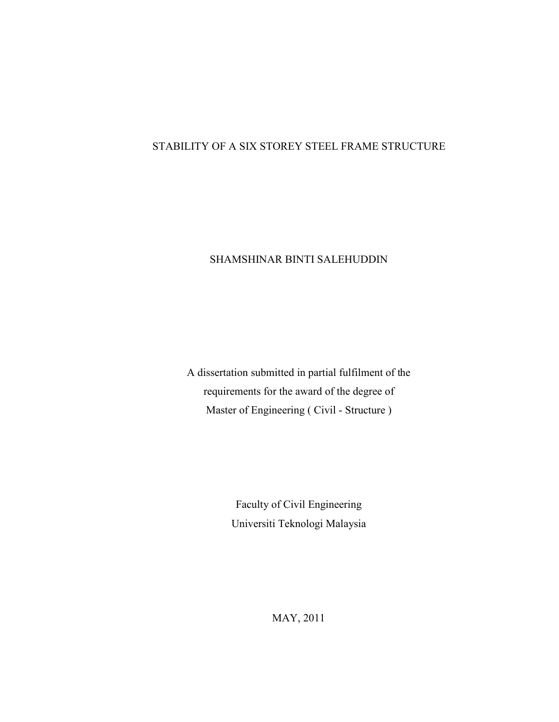# STABILITY OF A SIX STOREY STEEL FRAME STRUCTURE

## SHAMSHINAR BINTI SALEHUDDIN

A dissertation submitted in partial fulfilment of the requirements for the award of the degree of Master of Engineering ( Civil - Structure )

> Faculty of Civil Engineering Universiti Teknologi Malaysia

> > MAY, 2011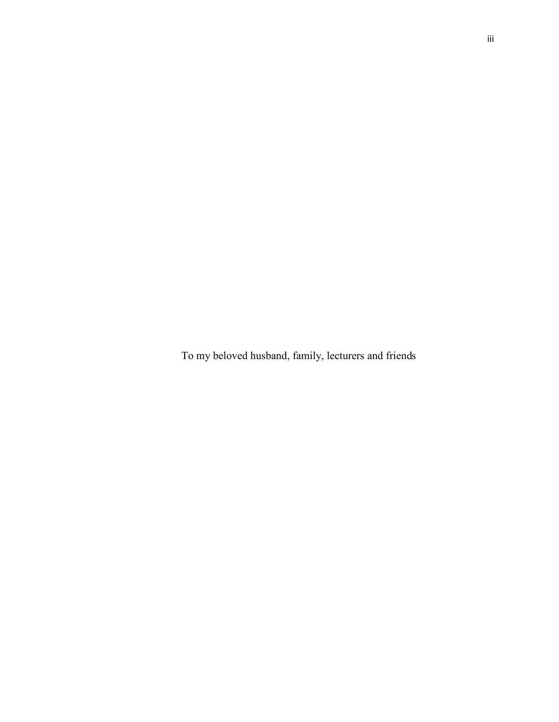To my beloved husband, family, lecturers and friends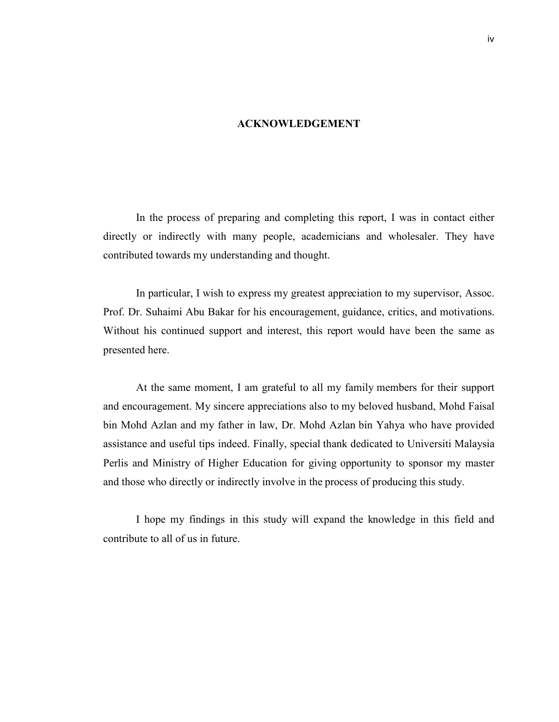#### **ACKNOWLEDGEMENT**

 In the process of preparing and completing this report, I was in contact either directly or indirectly with many people, academicians and wholesaler. They have contributed towards my understanding and thought.

 In particular, I wish to express my greatest appreciation to my supervisor, Assoc. Prof. Dr. Suhaimi Abu Bakar for his encouragement, guidance, critics, and motivations. Without his continued support and interest, this report would have been the same as presented here.

 At the same moment, I am grateful to all my family members for their support and encouragement. My sincere appreciations also to my beloved husband, Mohd Faisal bin Mohd Azlan and my father in law, Dr. Mohd Azlan bin Yahya who have provided assistance and useful tips indeed. Finally, special thank dedicated to Universiti Malaysia Perlis and Ministry of Higher Education for giving opportunity to sponsor my master and those who directly or indirectly involve in the process of producing this study.

 I hope my findings in this study will expand the knowledge in this field and contribute to all of us in future.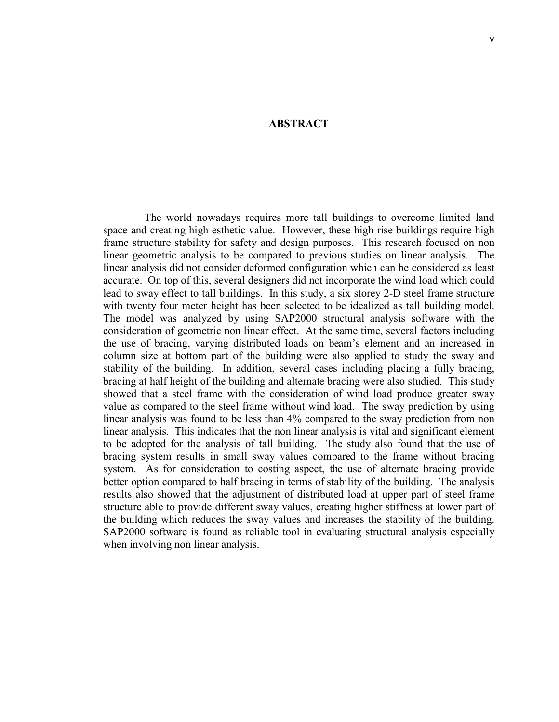### **ABSTRACT**

The world nowadays requires more tall buildings to overcome limited land space and creating high esthetic value. However, these high rise buildings require high frame structure stability for safety and design purposes. This research focused on non linear geometric analysis to be compared to previous studies on linear analysis. The linear analysis did not consider deformed configuration which can be considered as least accurate. On top of this, several designers did not incorporate the wind load which could lead to sway effect to tall buildings. In this study, a six storey 2-D steel frame structure with twenty four meter height has been selected to be idealized as tall building model. The model was analyzed by using SAP2000 structural analysis software with the consideration of geometric non linear effect. At the same time, several factors including the use of bracing, varying distributed loads on beam's element and an increased in column size at bottom part of the building were also applied to study the sway and stability of the building. In addition, several cases including placing a fully bracing, bracing at half height of the building and alternate bracing were also studied. This study showed that a steel frame with the consideration of wind load produce greater sway value as compared to the steel frame without wind load. The sway prediction by using linear analysis was found to be less than 4% compared to the sway prediction from non linear analysis. This indicates that the non linear analysis is vital and significant element to be adopted for the analysis of tall building. The study also found that the use of bracing system results in small sway values compared to the frame without bracing system. As for consideration to costing aspect, the use of alternate bracing provide better option compared to half bracing in terms of stability of the building. The analysis results also showed that the adjustment of distributed load at upper part of steel frame structure able to provide different sway values, creating higher stiffness at lower part of the building which reduces the sway values and increases the stability of the building. SAP2000 software is found as reliable tool in evaluating structural analysis especially when involving non linear analysis.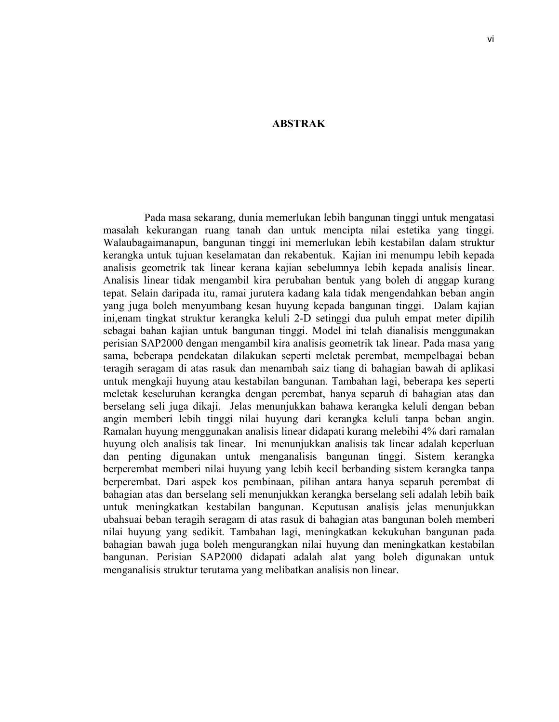#### **ABSTRAK**

 Pada masa sekarang, dunia memerlukan lebih bangunan tinggi untuk mengatasi masalah kekurangan ruang tanah dan untuk mencipta nilai estetika yang tinggi. Walaubagaimanapun, bangunan tinggi ini memerlukan lebih kestabilan dalam struktur kerangka untuk tujuan keselamatan dan rekabentuk. Kajian ini menumpu lebih kepada analisis geometrik tak linear kerana kajian sebelumnya lebih kepada analisis linear. Analisis linear tidak mengambil kira perubahan bentuk yang boleh di anggap kurang tepat. Selain daripada itu, ramai jurutera kadang kala tidak mengendahkan beban angin yang juga boleh menyumbang kesan huyung kepada bangunan tinggi. Dalam kajian ini,enam tingkat struktur kerangka keluli 2-D setinggi dua puluh empat meter dipilih sebagai bahan kajian untuk bangunan tinggi. Model ini telah dianalisis menggunakan perisian SAP2000 dengan mengambil kira analisis geometrik tak linear. Pada masa yang sama, beberapa pendekatan dilakukan seperti meletak perembat, mempelbagai beban teragih seragam di atas rasuk dan menambah saiz tiang di bahagian bawah di aplikasi untuk mengkaji huyung atau kestabilan bangunan. Tambahan lagi, beberapa kes seperti meletak keseluruhan kerangka dengan perembat, hanya separuh di bahagian atas dan berselang seli juga dikaji. Jelas menunjukkan bahawa kerangka keluli dengan beban angin memberi lebih tinggi nilai huyung dari kerangka keluli tanpa beban angin. Ramalan huyung menggunakan analisis linear didapati kurang melebihi 4% dari ramalan huyung oleh analisis tak linear. Ini menunjukkan analisis tak linear adalah keperluan dan penting digunakan untuk menganalisis bangunan tinggi. Sistem kerangka berperembat memberi nilai huyung yang lebih kecil berbanding sistem kerangka tanpa berperembat. Dari aspek kos pembinaan, pilihan antara hanya separuh perembat di bahagian atas dan berselang seli menunjukkan kerangka berselang seli adalah lebih baik untuk meningkatkan kestabilan bangunan. Keputusan analisis jelas menunjukkan ubahsuai beban teragih seragam di atas rasuk di bahagian atas bangunan boleh memberi nilai huyung yang sedikit. Tambahan lagi, meningkatkan kekukuhan bangunan pada bahagian bawah juga boleh mengurangkan nilai huyung dan meningkatkan kestabilan bangunan. Perisian SAP2000 didapati adalah alat yang boleh digunakan untuk menganalisis struktur terutama yang melibatkan analisis non linear.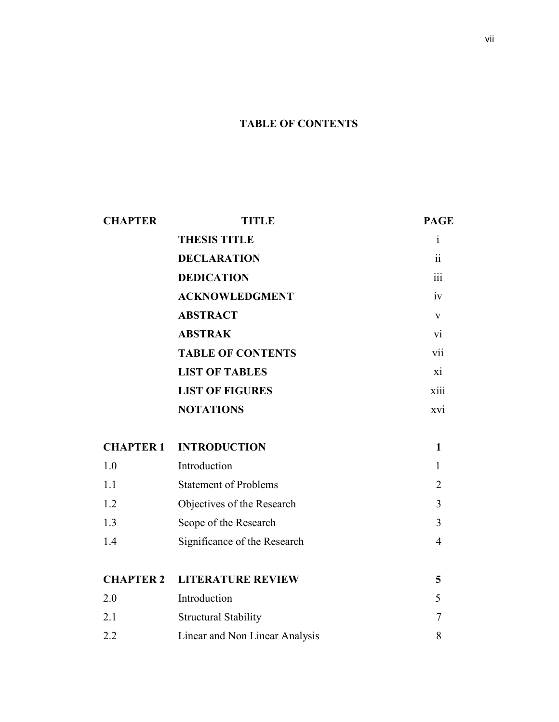# **TABLE OF CONTENTS**

| <b>CHAPTER</b>   | TITLE                          | <b>PAGE</b>              |
|------------------|--------------------------------|--------------------------|
|                  | <b>THESIS TITLE</b>            | <sup>i</sup>             |
|                  | <b>DECLARATION</b>             | $\overline{\textbf{ii}}$ |
|                  | <b>DEDICATION</b>              | 111                      |
|                  | <b>ACKNOWLEDGMENT</b>          | iv                       |
|                  | <b>ABSTRACT</b>                | V                        |
|                  | <b>ABSTRAK</b>                 | $\overline{v}$           |
|                  | <b>TABLE OF CONTENTS</b>       | V11                      |
|                  | <b>LIST OF TABLES</b>          | xi                       |
|                  | <b>LIST OF FIGURES</b>         | xiii                     |
|                  | <b>NOTATIONS</b>               | XV1                      |
| <b>CHAPTER 1</b> | <b>INTRODUCTION</b>            | $\mathbf{1}$             |
| 1.0              | Introduction                   | $\mathbf{1}$             |
| 1.1              | <b>Statement of Problems</b>   | $\overline{2}$           |
| 1.2              | Objectives of the Research     | 3                        |
| 1.3              | Scope of the Research          | $\overline{3}$           |
| 1.4              | Significance of the Research   | $\overline{4}$           |
|                  |                                |                          |
| <b>CHAPTER 2</b> | <b>LITERATURE REVIEW</b>       | 5                        |
| 2.0              | Introduction                   | 5                        |
| 2.1              | <b>Structural Stability</b>    | $\overline{7}$           |
| 2.2              | Linear and Non Linear Analysis | 8                        |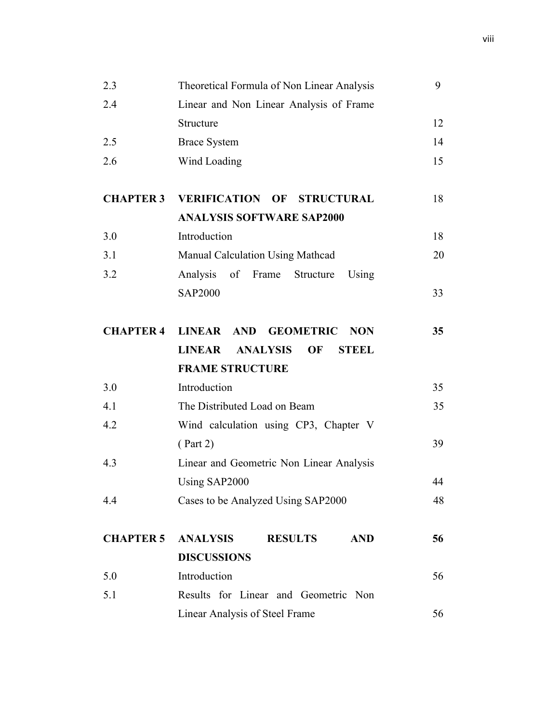| 2.3              | Theoretical Formula of Non Linear Analysis                    | 9  |
|------------------|---------------------------------------------------------------|----|
| 2.4              | Linear and Non Linear Analysis of Frame                       |    |
|                  | Structure                                                     | 12 |
| 2.5              | <b>Brace System</b>                                           | 14 |
| 2.6              | Wind Loading                                                  | 15 |
|                  |                                                               |    |
| <b>CHAPTER 3</b> | <b>VERIFICATION OF STRUCTURAL</b>                             | 18 |
|                  | <b>ANALYSIS SOFTWARE SAP2000</b>                              |    |
| 3.0              | Introduction                                                  | 18 |
| 3.1              | Manual Calculation Using Mathcad                              | 20 |
| 3.2              | Analysis of Frame Structure<br>Using                          |    |
|                  | <b>SAP2000</b>                                                | 33 |
|                  |                                                               |    |
| <b>CHAPTER 4</b> | LINEAR AND GEOMETRIC<br><b>NON</b>                            | 35 |
|                  | <b>LINEAR</b><br><b>ANALYSIS</b><br><b>OF</b><br><b>STEEL</b> |    |
|                  | <b>FRAME STRUCTURE</b>                                        |    |
| 3.0              | Introduction                                                  | 35 |
| 4.1              | The Distributed Load on Beam                                  | 35 |
| 4.2              | Wind calculation using CP3, Chapter V                         |    |
|                  | ( Part 2)                                                     | 39 |
| 4.3              | Linear and Geometric Non Linear Analysis                      |    |
|                  | Using SAP2000                                                 | 44 |
| 4.4              | Cases to be Analyzed Using SAP2000                            | 48 |
|                  |                                                               |    |
| <b>CHAPTER 5</b> | <b>ANALYSIS</b><br><b>RESULTS</b><br><b>AND</b>               | 56 |
|                  | <b>DISCUSSIONS</b>                                            |    |
| 5.0              | Introduction                                                  | 56 |
| 5.1              | Results for Linear and Geometric Non                          |    |
|                  | Linear Analysis of Steel Frame                                | 56 |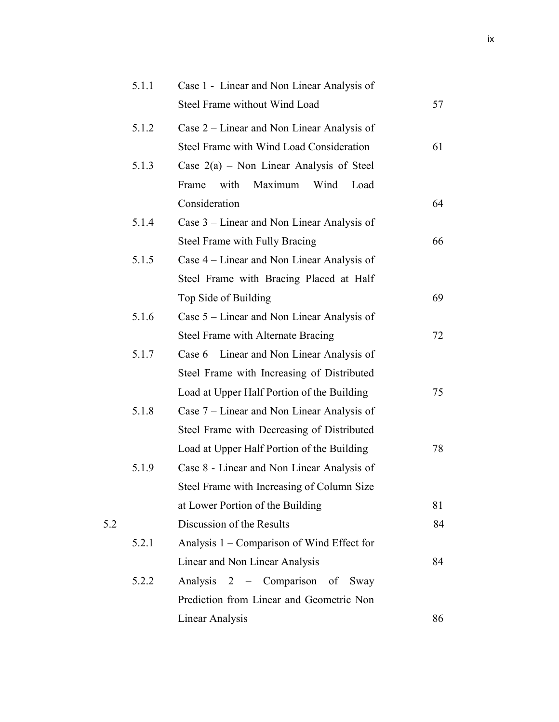|     | 5.1.1 | Case 1 - Linear and Non Linear Analysis of |    |
|-----|-------|--------------------------------------------|----|
|     |       | Steel Frame without Wind Load              | 57 |
|     | 5.1.2 | Case 2 – Linear and Non Linear Analysis of |    |
|     |       | Steel Frame with Wind Load Consideration   | 61 |
|     | 5.1.3 | Case $2(a)$ – Non Linear Analysis of Steel |    |
|     |       | Maximum<br>with<br>Wind<br>Frame<br>Load   |    |
|     |       | Consideration                              | 64 |
|     | 5.1.4 | Case 3 – Linear and Non Linear Analysis of |    |
|     |       | Steel Frame with Fully Bracing             | 66 |
|     | 5.1.5 | Case 4 – Linear and Non Linear Analysis of |    |
|     |       | Steel Frame with Bracing Placed at Half    |    |
|     |       | Top Side of Building                       | 69 |
|     | 5.1.6 | Case 5 – Linear and Non Linear Analysis of |    |
|     |       | Steel Frame with Alternate Bracing         | 72 |
|     | 5.1.7 | Case 6 – Linear and Non Linear Analysis of |    |
|     |       | Steel Frame with Increasing of Distributed |    |
|     |       | Load at Upper Half Portion of the Building | 75 |
|     | 5.1.8 | Case 7 – Linear and Non Linear Analysis of |    |
|     |       | Steel Frame with Decreasing of Distributed |    |
|     |       | Load at Upper Half Portion of the Building | 78 |
|     | 5.1.9 | Case 8 - Linear and Non Linear Analysis of |    |
|     |       | Steel Frame with Increasing of Column Size |    |
|     |       | at Lower Portion of the Building           | 81 |
| 5.2 |       | Discussion of the Results                  | 84 |
|     | 5.2.1 | Analysis 1 - Comparison of Wind Effect for |    |
|     |       | Linear and Non Linear Analysis             | 84 |
|     | 5.2.2 | Analysis 2 - Comparison of Sway            |    |
|     |       | Prediction from Linear and Geometric Non   |    |
|     |       | <b>Linear Analysis</b>                     | 86 |
|     |       |                                            |    |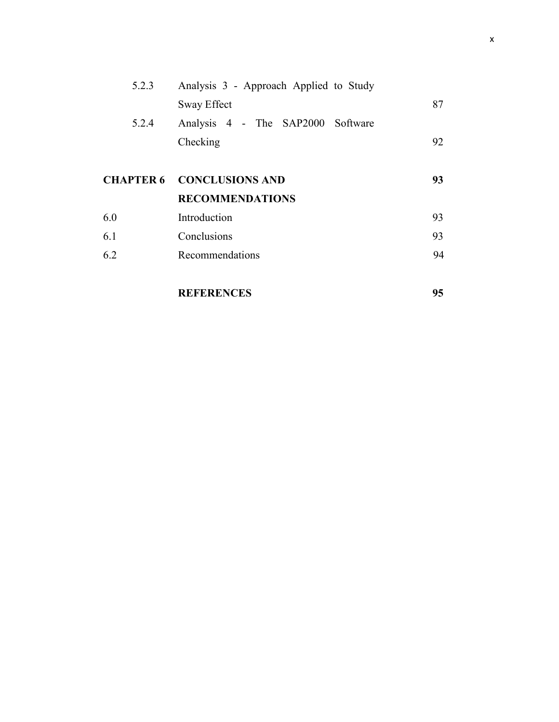| 5.2.3 | Analysis 3 - Approach Applied to Study |    |
|-------|----------------------------------------|----|
|       | Sway Effect                            | 87 |
| 5.2.4 | Analysis 4 - The SAP2000 Software      |    |
|       | Checking                               | 92 |
|       |                                        |    |
|       | <b>CHAPTER 6 CONCLUSIONS AND</b>       | 93 |
|       | <b>RECOMMENDATIONS</b>                 |    |
| 6.0   | Introduction                           | 93 |
| 6.1   | Conclusions                            | 93 |
| 6.2   | Recommendations                        | 94 |
|       |                                        |    |
|       |                                        |    |

**REFERENCES 95**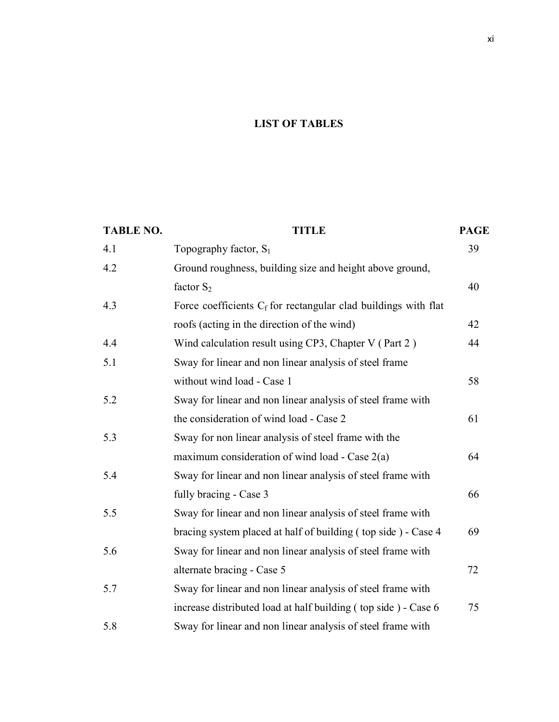## **LIST OF TABLES**

| <b>TABLE NO.</b> | <b>TITLE</b>                                                      | <b>PAGE</b> |
|------------------|-------------------------------------------------------------------|-------------|
| 4.1              | Topography factor, $S_1$                                          | 39          |
| 4.2              | Ground roughness, building size and height above ground,          |             |
|                  | factor $S_2$                                                      | 40          |
| 4.3              | Force coefficients $C_f$ for rectangular clad buildings with flat |             |
|                  | roofs (acting in the direction of the wind)                       | 42          |
| 4.4              | Wind calculation result using CP3, Chapter V (Part 2)             | 44          |
| 5.1              | Sway for linear and non linear analysis of steel frame            |             |
|                  | without wind load - Case 1                                        | 58          |
| 5.2              | Sway for linear and non linear analysis of steel frame with       |             |
|                  | the consideration of wind load - Case 2                           | 61          |
| 5.3              | Sway for non linear analysis of steel frame with the              |             |
|                  | maximum consideration of wind load - Case $2(a)$                  | 64          |
| 5.4              | Sway for linear and non linear analysis of steel frame with       |             |
|                  | fully bracing - Case 3                                            | 66          |
| 5.5              | Sway for linear and non linear analysis of steel frame with       |             |
|                  | bracing system placed at half of building (top side) - Case 4     | 69          |
| 5.6              | Sway for linear and non linear analysis of steel frame with       |             |
|                  | alternate bracing - Case 5                                        | 72          |
| 5.7              | Sway for linear and non linear analysis of steel frame with       |             |
|                  | increase distributed load at half building (top side) - Case 6    | 75          |
| 5.8              | Sway for linear and non linear analysis of steel frame with       |             |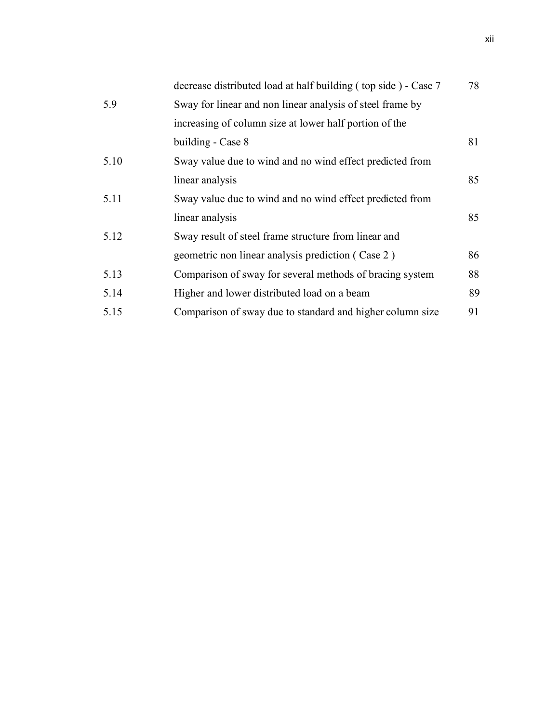|      | decrease distributed load at half building (top side) - Case 7 | 78 |
|------|----------------------------------------------------------------|----|
| 5.9  | Sway for linear and non linear analysis of steel frame by      |    |
|      | increasing of column size at lower half portion of the         |    |
|      | building - Case 8                                              | 81 |
| 5.10 | Sway value due to wind and no wind effect predicted from       |    |
|      | linear analysis                                                | 85 |
| 5.11 | Sway value due to wind and no wind effect predicted from       |    |
|      | linear analysis                                                | 85 |
| 5.12 | Sway result of steel frame structure from linear and           |    |
|      | geometric non linear analysis prediction (Case 2)              | 86 |
| 5.13 | Comparison of sway for several methods of bracing system       | 88 |
| 5.14 | Higher and lower distributed load on a beam                    | 89 |
| 5.15 | Comparison of sway due to standard and higher column size      | 91 |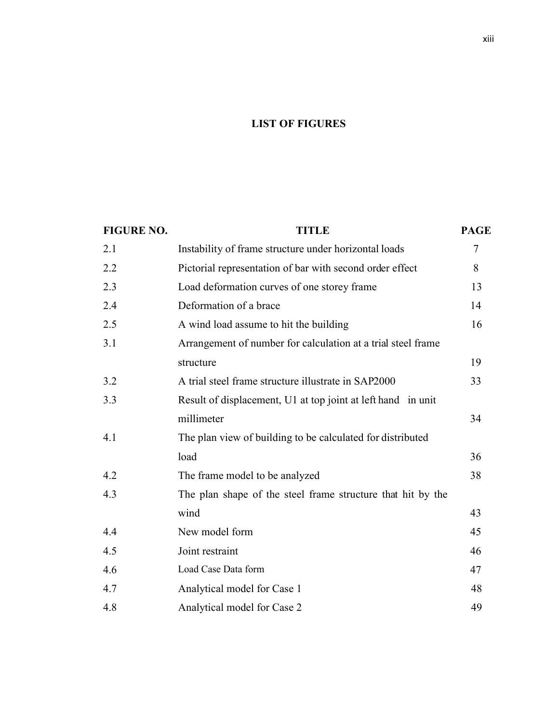## **LIST OF FIGURES**

| <b>FIGURE NO.</b> | <b>TITLE</b>                                                 | <b>PAGE</b> |
|-------------------|--------------------------------------------------------------|-------------|
| 2.1               | Instability of frame structure under horizontal loads        | $\tau$      |
| 2.2               | Pictorial representation of bar with second order effect     | 8           |
| 2.3               | Load deformation curves of one storey frame                  | 13          |
| 2.4               | Deformation of a brace                                       | 14          |
| 2.5               | A wind load assume to hit the building                       | 16          |
| 3.1               | Arrangement of number for calculation at a trial steel frame |             |
|                   | structure                                                    | 19          |
| 3.2               | A trial steel frame structure illustrate in SAP2000          | 33          |
| 3.3               | Result of displacement, U1 at top joint at left hand in unit |             |
|                   | millimeter                                                   | 34          |
| 4.1               | The plan view of building to be calculated for distributed   |             |
|                   | load                                                         | 36          |
| 4.2               | The frame model to be analyzed                               | 38          |
| 4.3               | The plan shape of the steel frame structure that hit by the  |             |
|                   | wind                                                         | 43          |
| 4.4               | New model form                                               | 45          |
| 4.5               | Joint restraint                                              | 46          |
| 4.6               | Load Case Data form                                          | 47          |
| 4.7               | Analytical model for Case 1                                  | 48          |
| 4.8               | Analytical model for Case 2                                  | 49          |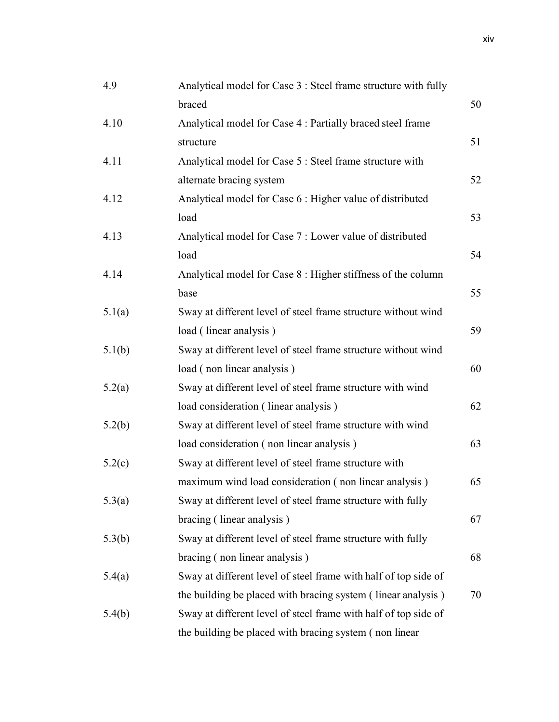| 4.9    | Analytical model for Case 3 : Steel frame structure with fully  |    |
|--------|-----------------------------------------------------------------|----|
|        | braced                                                          | 50 |
| 4.10   | Analytical model for Case 4 : Partially braced steel frame      |    |
|        | structure                                                       | 51 |
| 4.11   | Analytical model for Case 5 : Steel frame structure with        |    |
|        | alternate bracing system                                        | 52 |
| 4.12   | Analytical model for Case 6 : Higher value of distributed       |    |
|        | load                                                            | 53 |
| 4.13   | Analytical model for Case 7 : Lower value of distributed        |    |
|        | load                                                            | 54 |
| 4.14   | Analytical model for Case 8 : Higher stiffness of the column    |    |
|        | base                                                            | 55 |
| 5.1(a) | Sway at different level of steel frame structure without wind   |    |
|        | load (linear analysis)                                          | 59 |
| 5.1(b) | Sway at different level of steel frame structure without wind   |    |
|        | load (non linear analysis)                                      | 60 |
| 5.2(a) | Sway at different level of steel frame structure with wind      |    |
|        | load consideration (linear analysis)                            | 62 |
| 5.2(b) | Sway at different level of steel frame structure with wind      |    |
|        | load consideration (non linear analysis)                        | 63 |
| 5.2(c) | Sway at different level of steel frame structure with           |    |
|        | maximum wind load consideration (non linear analysis)           | 65 |
| 5.3(a) | Sway at different level of steel frame structure with fully     |    |
|        | bracing (linear analysis)                                       | 67 |
| 5.3(b) | Sway at different level of steel frame structure with fully     |    |
|        | bracing (non linear analysis)                                   | 68 |
| 5.4(a) | Sway at different level of steel frame with half of top side of |    |
|        | the building be placed with bracing system (linear analysis)    | 70 |
| 5.4(b) | Sway at different level of steel frame with half of top side of |    |
|        | the building be placed with bracing system (non linear          |    |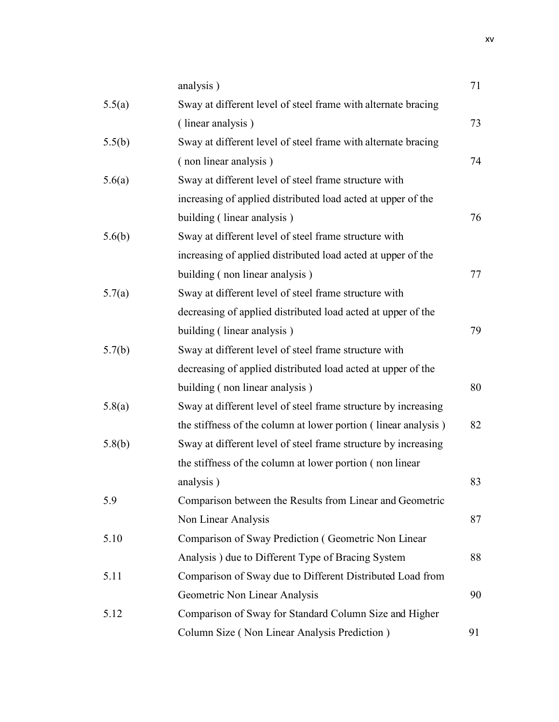|        | analysis)                                                      | 71 |
|--------|----------------------------------------------------------------|----|
| 5.5(a) | Sway at different level of steel frame with alternate bracing  |    |
|        | (linear analysis)                                              | 73 |
| 5.5(b) | Sway at different level of steel frame with alternate bracing  |    |
|        | (non linear analysis)                                          | 74 |
| 5.6(a) | Sway at different level of steel frame structure with          |    |
|        | increasing of applied distributed load acted at upper of the   |    |
|        | building (linear analysis)                                     | 76 |
| 5.6(b) | Sway at different level of steel frame structure with          |    |
|        | increasing of applied distributed load acted at upper of the   |    |
|        | building (non linear analysis)                                 | 77 |
| 5.7(a) | Sway at different level of steel frame structure with          |    |
|        | decreasing of applied distributed load acted at upper of the   |    |
|        | building (linear analysis)                                     | 79 |
| 5.7(b) | Sway at different level of steel frame structure with          |    |
|        | decreasing of applied distributed load acted at upper of the   |    |
|        | building (non linear analysis)                                 | 80 |
| 5.8(a) | Sway at different level of steel frame structure by increasing |    |
|        | the stiffness of the column at lower portion (linear analysis) | 82 |
| 5.8(b) | Sway at different level of steel frame structure by increasing |    |
|        | the stiffness of the column at lower portion (non linear       |    |
|        | analysis)                                                      | 83 |
| 5.9    | Comparison between the Results from Linear and Geometric       |    |
|        | Non Linear Analysis                                            | 87 |
| 5.10   | Comparison of Sway Prediction (Geometric Non Linear            |    |
|        | Analysis) due to Different Type of Bracing System              | 88 |
| 5.11   | Comparison of Sway due to Different Distributed Load from      |    |
|        | Geometric Non Linear Analysis                                  | 90 |
| 5.12   | Comparison of Sway for Standard Column Size and Higher         |    |
|        | Column Size (Non Linear Analysis Prediction)                   | 91 |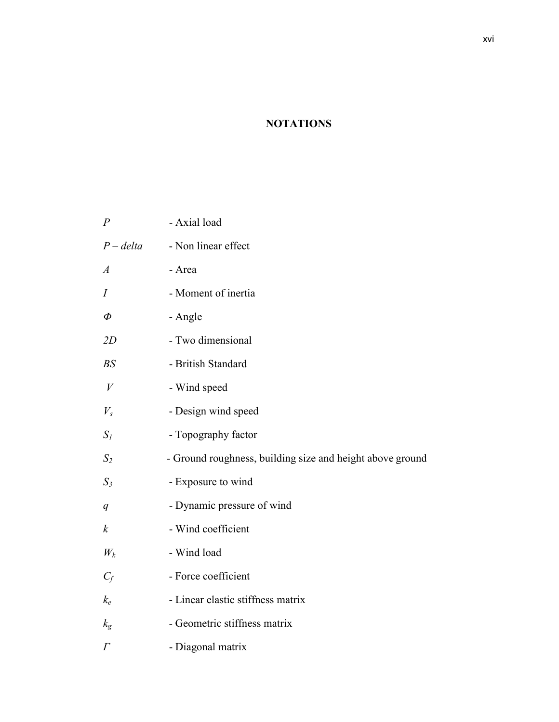# **NOTATIONS**

| $\overline{P}$   | - Axial load                                              |
|------------------|-----------------------------------------------------------|
| $P$ – delta      | - Non linear effect                                       |
| $\boldsymbol{A}$ | - Area                                                    |
| $\overline{I}$   | - Moment of inertia                                       |
| $\varPhi$        | - Angle                                                   |
| 2D               | - Two dimensional                                         |
| BS               | - British Standard                                        |
| $\boldsymbol{V}$ | - Wind speed                                              |
| $V_{s}$          | - Design wind speed                                       |
| $S_I$            | - Topography factor                                       |
| $S_2$            | - Ground roughness, building size and height above ground |
| $S_3$            | - Exposure to wind                                        |
| q                | - Dynamic pressure of wind                                |
| $\boldsymbol{k}$ | - Wind coefficient                                        |
| $W_k$            | - Wind load                                               |
| $C_f$            | - Force coefficient                                       |
| $k_e$            | - Linear elastic stiffness matrix                         |
| $k_{\rm g}$      | - Geometric stiffness matrix                              |
| $\varGamma$      | - Diagonal matrix                                         |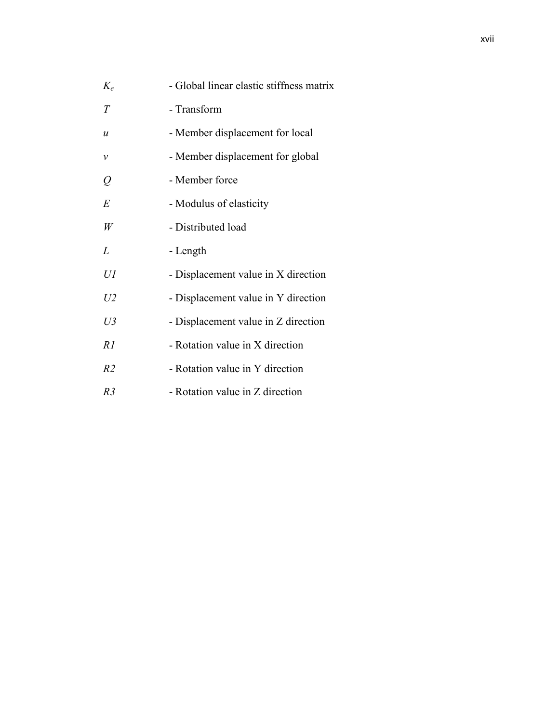| $K_e$                      | - Global linear elastic stiffness matrix |
|----------------------------|------------------------------------------|
| T                          | - Transform                              |
| $\boldsymbol{\mathcal{u}}$ | - Member displacement for local          |
| $\mathcal V$               | - Member displacement for global         |
| $\varrho$                  | - Member force                           |
| E                          | - Modulus of elasticity                  |
| W                          | - Distributed load                       |
| L                          | - Length                                 |
| UI                         | - Displacement value in X direction      |
| U <sub>2</sub>             | - Displacement value in Y direction      |
| $U_3$                      | - Displacement value in Z direction      |
| R1                         | - Rotation value in X direction          |
| R <sub>2</sub>             | - Rotation value in Y direction          |
| R3                         | - Rotation value in Z direction          |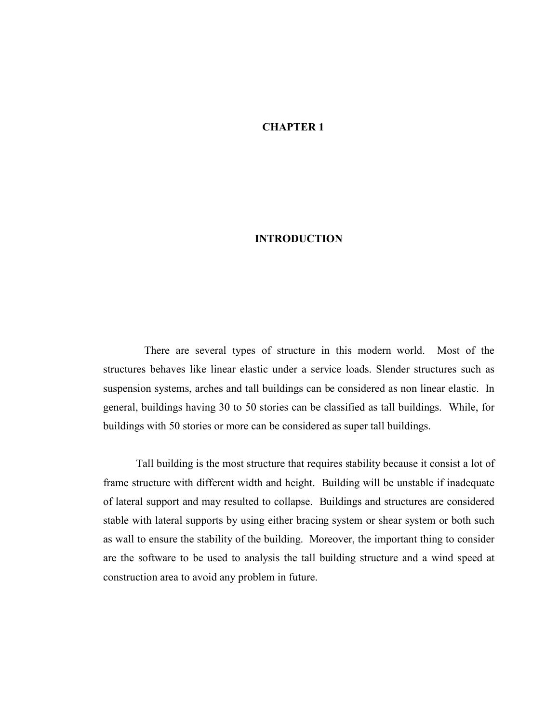### **CHAPTER 1**

#### **INTRODUCTION**

There are several types of structure in this modern world. Most of the structures behaves like linear elastic under a service loads. Slender structures such as suspension systems, arches and tall buildings can be considered as non linear elastic. In general, buildings having 30 to 50 stories can be classified as tall buildings. While, for buildings with 50 stories or more can be considered as super tall buildings.

Tall building is the most structure that requires stability because it consist a lot of frame structure with different width and height. Building will be unstable if inadequate of lateral support and may resulted to collapse. Buildings and structures are considered stable with lateral supports by using either bracing system or shear system or both such as wall to ensure the stability of the building. Moreover, the important thing to consider are the software to be used to analysis the tall building structure and a wind speed at construction area to avoid any problem in future.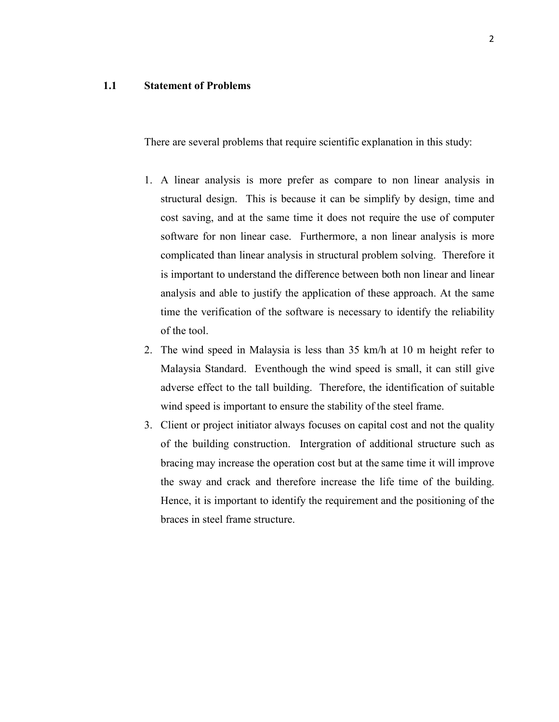### **1.1 Statement of Problems**

There are several problems that require scientific explanation in this study:

- 1. A linear analysis is more prefer as compare to non linear analysis in structural design. This is because it can be simplify by design, time and cost saving, and at the same time it does not require the use of computer software for non linear case. Furthermore, a non linear analysis is more complicated than linear analysis in structural problem solving. Therefore it is important to understand the difference between both non linear and linear analysis and able to justify the application of these approach. At the same time the verification of the software is necessary to identify the reliability of the tool.
- 2. The wind speed in Malaysia is less than 35 km/h at 10 m height refer to Malaysia Standard. Eventhough the wind speed is small, it can still give adverse effect to the tall building. Therefore, the identification of suitable wind speed is important to ensure the stability of the steel frame.
- 3. Client or project initiator always focuses on capital cost and not the quality of the building construction. Intergration of additional structure such as bracing may increase the operation cost but at the same time it will improve the sway and crack and therefore increase the life time of the building. Hence, it is important to identify the requirement and the positioning of the braces in steel frame structure.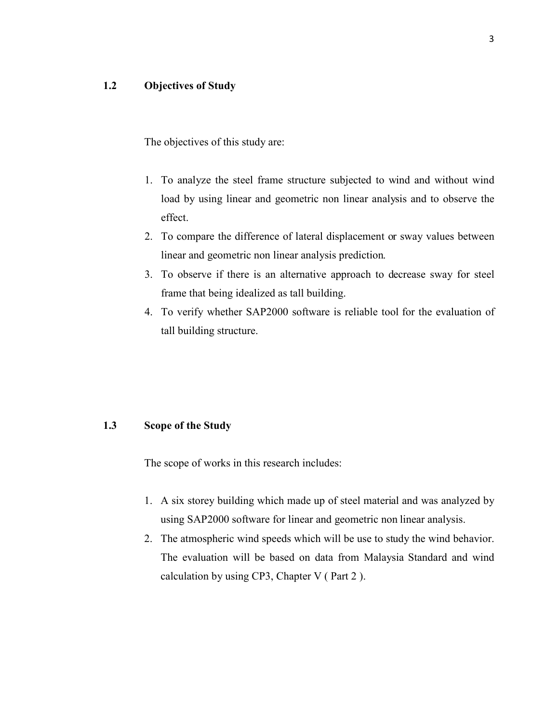## **1.2 Objectives of Study**

The objectives of this study are:

- 1. To analyze the steel frame structure subjected to wind and without wind load by using linear and geometric non linear analysis and to observe the effect.
- 2. To compare the difference of lateral displacement or sway values between linear and geometric non linear analysis prediction.
- 3. To observe if there is an alternative approach to decrease sway for steel frame that being idealized as tall building.
- 4. To verify whether SAP2000 software is reliable tool for the evaluation of tall building structure.

#### **1.3 Scope of the Study**

The scope of works in this research includes:

- 1. A six storey building which made up of steel material and was analyzed by using SAP2000 software for linear and geometric non linear analysis.
- 2. The atmospheric wind speeds which will be use to study the wind behavior. The evaluation will be based on data from Malaysia Standard and wind calculation by using CP3, Chapter V ( Part 2 ).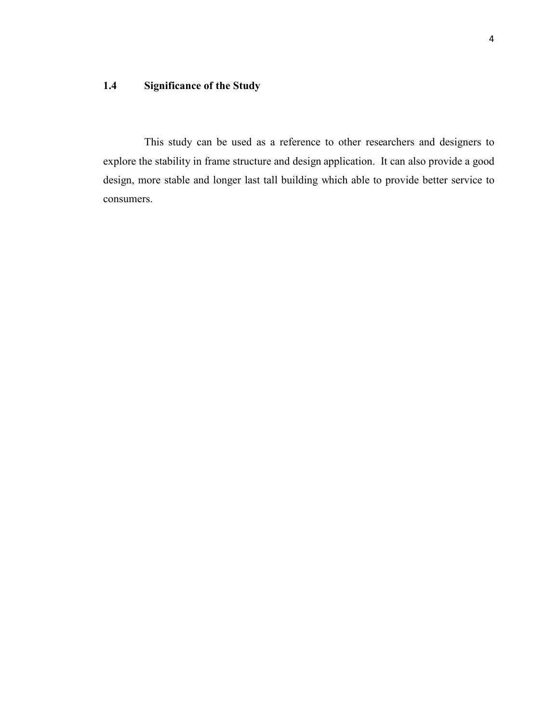## **1.4 Significance of the Study**

This study can be used as a reference to other researchers and designers to explore the stability in frame structure and design application. It can also provide a good design, more stable and longer last tall building which able to provide better service to consumers.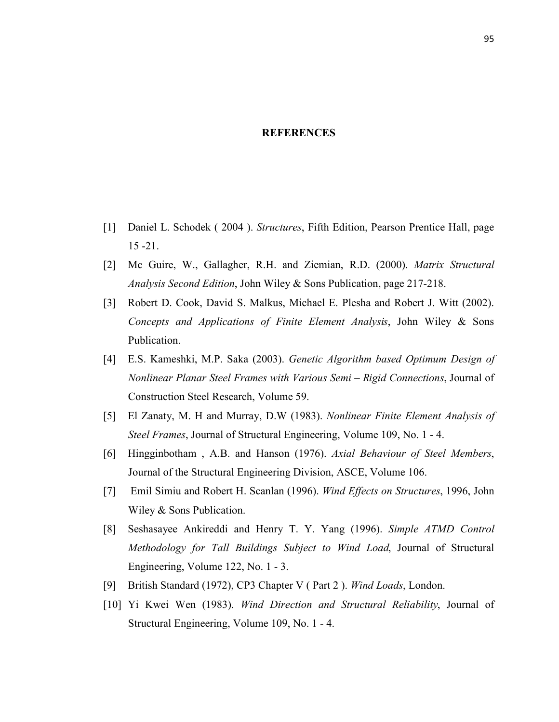### **REFERENCES**

- [1] Daniel L. Schodek ( 2004 ). *Structures*, Fifth Edition, Pearson Prentice Hall, page 15 -21.
- [2] Mc Guire, W., Gallagher, R.H. and Ziemian, R.D. (2000). *Matrix Structural Analysis Second Edition*, John Wiley & Sons Publication, page 217-218.
- [3] Robert D. Cook, David S. Malkus, Michael E. Plesha and Robert J. Witt (2002). *Concepts and Applications of Finite Element Analysis*, John Wiley & Sons Publication.
- [4] E.S. Kameshki, M.P. Saka (2003). *Genetic Algorithm based Optimum Design of Nonlinear Planar Steel Frames with Various Semi – Rigid Connections*, Journal of Construction Steel Research, Volume 59.
- [5] El Zanaty, M. H and Murray, D.W (1983). *Nonlinear Finite Element Analysis of Steel Frames*, Journal of Structural Engineering, Volume 109, No. 1 - 4.
- [6] Hingginbotham , A.B. and Hanson (1976). *Axial Behaviour of Steel Members*, Journal of the Structural Engineering Division, ASCE, Volume 106.
- [7] Emil Simiu and Robert H. Scanlan (1996). *Wind Effects on Structures*, 1996, John Wiley & Sons Publication.
- [8] Seshasayee Ankireddi and Henry T. Y. Yang (1996). *Simple ATMD Control Methodology for Tall Buildings Subject to Wind Load*, Journal of Structural Engineering, Volume 122, No. 1 - 3.
- [9] British Standard (1972), CP3 Chapter V ( Part 2 ). *Wind Loads*, London.
- [10] Yi Kwei Wen (1983). *Wind Direction and Structural Reliability*, Journal of Structural Engineering, Volume 109, No. 1 - 4.